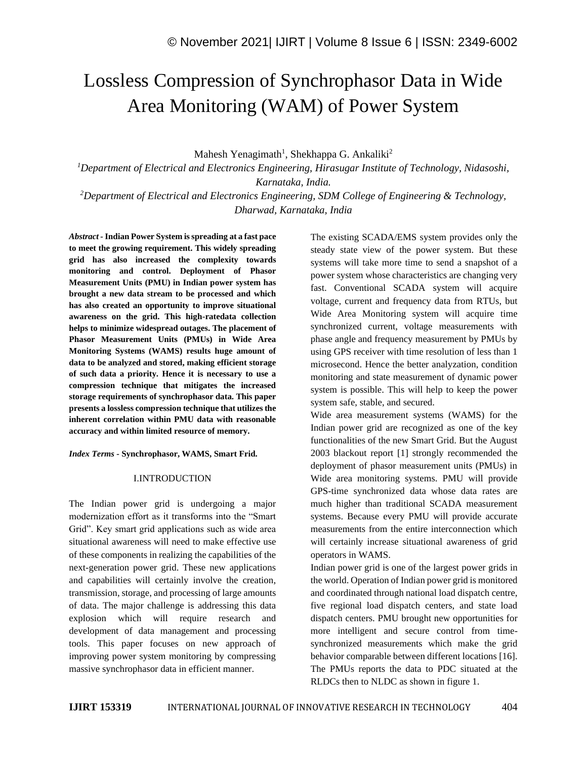# Lossless Compression of Synchrophasor Data in Wide Area Monitoring (WAM) of Power System

Mahesh Yenagimath<sup>1</sup>, Shekhappa G. Ankaliki<sup>2</sup>

*<sup>1</sup>Department of Electrical and Electronics Engineering, Hirasugar Institute of Technology, Nidasoshi, Karnataka, India.*

*<sup>2</sup>Department of Electrical and Electronics Engineering, SDM College of Engineering & Technology, Dharwad, Karnataka, India*

*Abstract -***Indian Power System is spreading at a fast pace to meet the growing requirement. This widely spreading grid has also increased the complexity towards monitoring and control. Deployment of Phasor Measurement Units (PMU) in Indian power system has brought a new data stream to be processed and which has also created an opportunity to improve situational awareness on the grid. This high-ratedata collection helps to minimize widespread outages. The placement of Phasor Measurement Units (PMUs) in Wide Area Monitoring Systems (WAMS) results huge amount of data to be analyzed and stored, making efficient storage of such data a priority. Hence it is necessary to use a compression technique that mitigates the increased storage requirements of synchrophasor data. This paper presents a lossless compression technique that utilizes the inherent correlation within PMU data with reasonable accuracy and within limited resource of memory.**

*Index Terms -* **Synchrophasor, WAMS, Smart Frid.**

#### I.INTRODUCTION

The Indian power grid is undergoing a major modernization effort as it transforms into the "Smart Grid". Key smart grid applications such as wide area situational awareness will need to make effective use of these components in realizing the capabilities of the next-generation power grid. These new applications and capabilities will certainly involve the creation, transmission, storage, and processing of large amounts of data. The major challenge is addressing this data explosion which will require research and development of data management and processing tools. This paper focuses on new approach of improving power system monitoring by compressing massive synchrophasor data in efficient manner.

The existing SCADA/EMS system provides only the steady state view of the power system. But these systems will take more time to send a snapshot of a power system whose characteristics are changing very fast. Conventional SCADA system will acquire voltage, current and frequency data from RTUs, but Wide Area Monitoring system will acquire time synchronized current, voltage measurements with phase angle and frequency measurement by PMUs by using GPS receiver with time resolution of less than 1 microsecond. Hence the better analyzation, condition monitoring and state measurement of dynamic power system is possible. This will help to keep the power system safe, stable, and secured.

Wide area measurement systems (WAMS) for the Indian power grid are recognized as one of the key functionalities of the new Smart Grid. But the August 2003 blackout report [1] strongly recommended the deployment of phasor measurement units (PMUs) in Wide area monitoring systems. PMU will provide GPS-time synchronized data whose data rates are much higher than traditional SCADA measurement systems. Because every PMU will provide accurate measurements from the entire interconnection which will certainly increase situational awareness of grid operators in WAMS.

Indian power grid is one of the largest power grids in the world. Operation of Indian power grid is monitored and coordinated through national load dispatch centre, five regional load dispatch centers, and state load dispatch centers. PMU brought new opportunities for more intelligent and secure control from timesynchronized measurements which make the grid behavior comparable between different locations [16]. The PMUs reports the data to PDC situated at the RLDCs then to NLDC as shown in figure 1.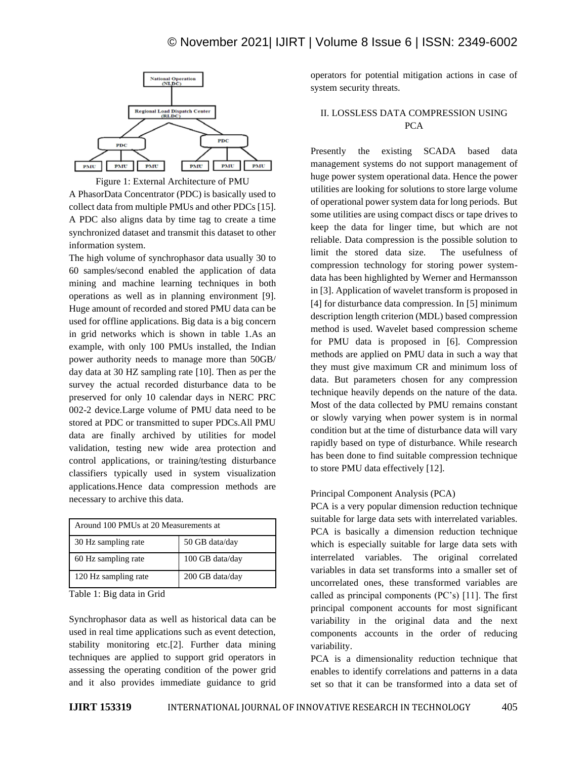

Figure 1: External Architecture of PMU A PhasorData Concentrator (PDC) is basically used to collect data from multiple PMUs and other PDCs [15]. A PDC also aligns data by time tag to create a time synchronized dataset and transmit this dataset to other information system.

The high volume of synchrophasor data usually 30 to 60 samples/second enabled the application of data mining and machine learning techniques in both operations as well as in planning environment [9]. Huge amount of recorded and stored PMU data can be used for offline applications. Big data is a big concern in grid networks which is shown in table 1.As an example, with only 100 PMUs installed, the Indian power authority needs to manage more than 50GB/ day data at 30 HZ sampling rate [10]. Then as per the survey the actual recorded disturbance data to be preserved for only 10 calendar days in NERC PRC 002-2 device.Large volume of PMU data need to be stored at PDC or transmitted to super PDCs.All PMU data are finally archived by utilities for model validation, testing new wide area protection and control applications, or training/testing disturbance classifiers typically used in system visualization applications.Hence data compression methods are necessary to archive this data.

| Around 100 PMUs at 20 Measurements at |                 |  |
|---------------------------------------|-----------------|--|
| 30 Hz sampling rate                   | 50 GB data/day  |  |
| 60 Hz sampling rate                   | 100 GB data/day |  |
| 120 Hz sampling rate                  | 200 GB data/day |  |

Table 1: Big data in Grid

Synchrophasor data as well as historical data can be used in real time applications such as event detection, stability monitoring etc.[2]. Further data mining techniques are applied to support grid operators in assessing the operating condition of the power grid and it also provides immediate guidance to grid operators for potential mitigation actions in case of system security threats.

## II. LOSSLESS DATA COMPRESSION USING **PCA**

Presently the existing SCADA based data management systems do not support management of huge power system operational data. Hence the power utilities are looking for solutions to store large volume of operational power system data for long periods. But some utilities are using compact discs or tape drives to keep the data for linger time, but which are not reliable. Data compression is the possible solution to limit the stored data size. The usefulness of compression technology for storing power systemdata has been highlighted by Werner and Hermansson in [3]. Application of wavelet transform is proposed in [4] for disturbance data compression. In [5] minimum description length criterion (MDL) based compression method is used. Wavelet based compression scheme for PMU data is proposed in [6]. Compression methods are applied on PMU data in such a way that they must give maximum CR and minimum loss of data. But parameters chosen for any compression technique heavily depends on the nature of the data. Most of the data collected by PMU remains constant or slowly varying when power system is in normal condition but at the time of disturbance data will vary rapidly based on type of disturbance. While research has been done to find suitable compression technique to store PMU data effectively [12].

#### Principal Component Analysis (PCA)

PCA is a very popular dimension reduction technique suitable for large data sets with interrelated variables. PCA is basically a dimension reduction technique which is especially suitable for large data sets with interrelated variables. The original correlated variables in data set transforms into a smaller set of uncorrelated ones, these transformed variables are called as principal components (PC's) [11]. The first principal component accounts for most significant variability in the original data and the next components accounts in the order of reducing variability.

PCA is a dimensionality reduction technique that enables to identify correlations and patterns in a data set so that it can be transformed into a data set of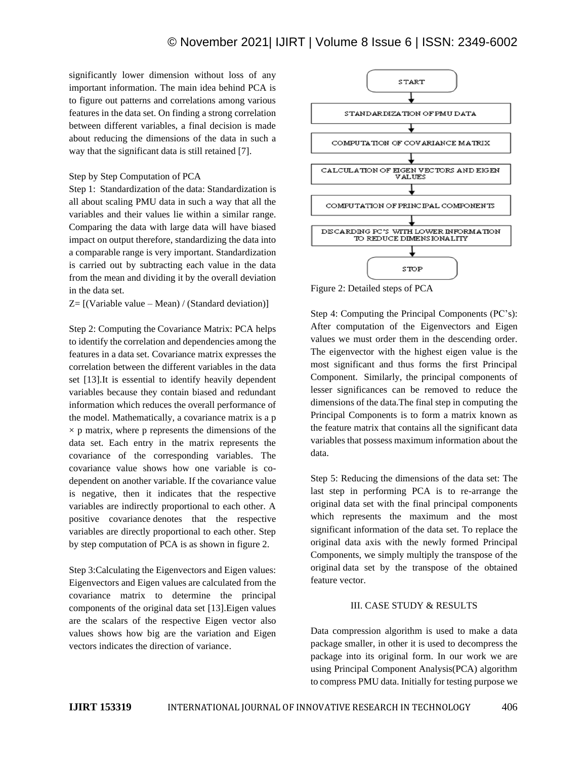significantly lower dimension without loss of any important information. The main idea behind PCA is to figure out patterns and correlations among various features in the data set. On finding a strong correlation between different variables, a final decision is made about reducing the dimensions of the data in such a way that the significant data is still retained [7].

#### Step by Step Computation of PCA

Step 1: Standardization of the data: Standardization is all about scaling PMU data in such a way that all the variables and their values lie within a similar range. Comparing the data with large data will have biased impact on output therefore, standardizing the data into a comparable range is very important. Standardization is carried out by subtracting each value in the data from the mean and dividing it by the overall deviation in the data set.

 $Z=$  [(Variable value – Mean) / (Standard deviation)]

Step 2: Computing the Covariance Matrix: PCA helps to identify the correlation and dependencies among the features in a data set. Covariance matrix expresses the correlation between the different variables in the data set [13].It is essential to identify heavily dependent variables because they contain biased and redundant information which reduces the overall performance of the model. Mathematically, a covariance matrix is a p  $\times$  p matrix, where p represents the dimensions of the data set. Each entry in the matrix represents the covariance of the corresponding variables. The covariance value shows how one variable is codependent on another variable. If the covariance value is negative, then it indicates that the respective variables are indirectly proportional to each other. A positive covariance denotes that the respective variables are directly proportional to each other. Step by step computation of PCA is as shown in figure 2.

Step 3:Calculating the Eigenvectors and Eigen values: Eigenvectors and Eigen values are calculated from the covariance matrix to determine the principal components of the original data set [13].Eigen values are the scalars of the respective Eigen vector also values shows how big are the variation and Eigen vectors indicates the direction of variance.



Figure 2: Detailed steps of PCA

Step 4: Computing the Principal Components (PC's): After computation of the Eigenvectors and Eigen values we must order them in the descending order. The eigenvector with the highest eigen value is the most significant and thus forms the first Principal Component. Similarly, the principal components of lesser significances can be removed to reduce the dimensions of the data.The final step in computing the Principal Components is to form a matrix known as the feature matrix that contains all the significant data variables that possess maximum information about the data.

Step 5: Reducing the dimensions of the data set: The last step in performing PCA is to re-arrange the original data set with the final principal components which represents the maximum and the most significant information of the data set. To replace the original data axis with the newly formed Principal Components, we simply multiply the transpose of the original data set by the transpose of the obtained feature vector.

### III. CASE STUDY & RESULTS

Data compression algorithm is used to make a data package smaller, in other it is used to decompress the package into its original form. In our work we are using Principal Component Analysis(PCA) algorithm to compress PMU data. Initially for testing purpose we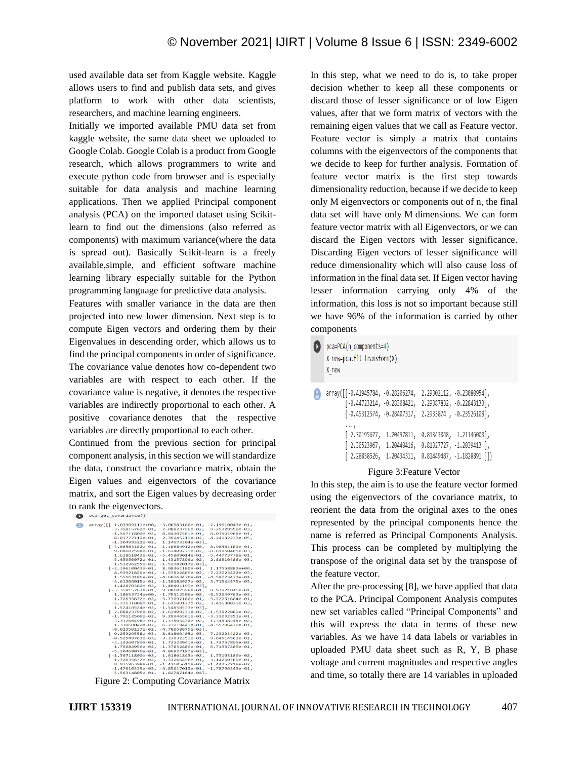used available data set from Kaggle website. Kaggle allows users to find and publish data sets, and gives platform to work with other data scientists, researchers, and machine learning engineers.

Initially we imported available PMU data set from kaggle website, the same data sheet we uploaded to Google Colab. Google Colab is a product from Google research, which allows programmers to write and execute python code from browser and is especially suitable for data analysis and machine learning applications. Then we applied Principal component analysis (PCA) on the imported dataset using Scikitlearn to find out the dimensions (also referred as components) with maximum variance(where the data is spread out). Basically Scikit-learn is a freely available,simple, and efficient software machine learning library especially suitable for the Python programming language for predictive data analysis.

Features with smaller variance in the data are then projected into new lower dimension. Next step is to compute Eigen vectors and ordering them by their Eigenvalues in descending order, which allows us to find the principal components in order of significance. The covariance value denotes how co-dependent two variables are with respect to each other. If the covariance value is negative, it denotes the respective variables are indirectly proportional to each other. A positive covariance denotes that the respective variables are directly proportional to each other.

Continued from the previous section for principal component analysis, in this section we will standardize the data, construct the covariance matrix, obtain the Eigen values and eigenvectors of the covariance matrix, and sort the Eigen values by decreasing order

# to rank the eigenvectors.

e

| pca.get_covariance()                                                                                                                                                                                                                                                                             |                                                                                                                                                                                                                                                                                                                                                                                                                                                                                                                                                     |
|--------------------------------------------------------------------------------------------------------------------------------------------------------------------------------------------------------------------------------------------------------------------------------------------------|-----------------------------------------------------------------------------------------------------------------------------------------------------------------------------------------------------------------------------------------------------------------------------------------------------------------------------------------------------------------------------------------------------------------------------------------------------------------------------------------------------------------------------------------------------|
| array([[ 1.03909111e+00,<br>$-3.35815762e-01$ ,<br>$-1.56711800e-02$<br>8.01777119e-01,<br>$-1.30499322e-02,$<br>$[-3.06583180e-01,$<br>9.08607598e-01,<br>1.61861843e-02,<br>$-5.45950072e-01,$<br>1.51296255e-02,<br>$[-2.19610043e-01,$                                                       | $-3.06583180e-01$ .<br>$-2.19610043e-01$ .<br>2.08823796e-02,<br>9.25329558e-03,<br>8.04107561e-01.<br>8.03501968e-01,<br>2.39245211e-02.<br>$-4.24132237e-05$<br>$1.24673304e-03$ ,<br>$1.18684912e+00,$<br>8.98461180e-01,<br>$-1.62409271e-02,$<br>$-8.61860405e-03.$<br>$-5.45809014e-01,$<br>$-5.44773778e-01,$<br>2.88310486e-03,<br>$-1.43157896e-02,$<br>$-1.52382017e-03$ ],<br>8.98461180e-01,<br>1.17558882e+00,                                                                                                                         |
| 8.93921846e-01,<br>1.55163186e-02,<br>$-4.61204015e-01$ .<br>1.42870380e-02,<br>$[-3.35815762e-01,$<br>$1.18653734e+00$ ,<br>1.72635672e-02,<br>$-5.73131808e-01,$<br>1.57418524e-02.<br>$[2.08823796e-02,$<br>$-1.79112506e-02,$<br>$-3.31266498e-01$ ,<br>1.33960040e-02,<br>$-8.02350137e-02$ | $-1.53822889e-02$ ,<br>$-7.23023422e-03$<br>$-4.59773473e-01$ ,<br>$-4.60763470e-01$ ,<br>$-1.30184927e-02$ .<br>3.71544475e-03.<br>$-1.40401199e-03$ ,<br>8.93921846e-01,<br>9.08607598e-01.<br>$-1.79112506e-02$ ,<br>$-8.52549763e-03$<br>$-5.73097180e-01,$<br>$-5.72051604e-01,$<br>$-1.61580177e-02,$<br>3.41630829e-03,<br>$-1.54858533e-03]$ ,<br>$-1.62409271e-02,$<br>$-1.53822889e-02,$<br>9.29946561e-01,<br>$-3.33032351e-01,$<br>1.33503470e-02,<br>1.34538245e-02,<br>$-4.55706470e-01$ ,<br>$6.23919441e-01,$<br>$-4.78058875e-03]$ |
| $[9.25329558e-03]$<br>$-8.52549763e-03$<br>$-3.14260780e-01$ ,<br>1.76684956e-02.<br>$-5.10468076e-01$ ,<br>$[-1.56711800e-02,$<br>1.72635672e-02,<br>8.97596398e-01.<br>$-1.47610339e-02$ ,<br>5.56314805e-01.                                                                                  | $-7.23023422e-03$ ,<br>$-8.61860405e-03$ ,<br>$-3.33032351e-01$ .<br>$9.64514563e-01.$<br>1.72757805e-02,<br>1.72223941e-02,<br>$-1.37832889e-01.$<br>6.71337485e-01.<br>$4.86927197e-03$ ,<br>1.61861843e-02,<br>1.55163186e-02,<br>$-3.31266498e-01,$<br>$-3.14260780e-01,$<br>$-1.42605611e-02,$<br>$-1.44257218e-02,$<br>$-4.85617010e-01,$<br>$-1.78796343e-01,$<br>1,82787164e-04],                                                                                                                                                           |

Figure 2: Computing Covariance Matrix

In this step, what we need to do is, to take proper decision whether to keep all these components or discard those of lesser significance or of low Eigen values, after that we form matrix of vectors with the remaining eigen values that we call as Feature vector. Feature vector is simply a matrix that contains columns with the eigenvectors of the components that we decide to keep for further analysis. Formation of feature vector matrix is the first step towards dimensionality reduction, because if we decide to keep only M eigenvectors or components out of n, the final data set will have only M dimensions. We can form feature vector matrix with all Eigenvectors, or we can discard the Eigen vectors with lesser significance. Discarding Eigen vectors of lesser significance will reduce dimensionality which will also cause loss of information in the final data set. If Eigen vector having lesser information carrying only 4% of the information, this loss is not so important because still we have 96% of the information is carried by other components

| pca=PCA(n components=4)<br>X new=pca.fit transform(X)<br>X new |                                                                                                                 |                                                           |  |
|----------------------------------------------------------------|-----------------------------------------------------------------------------------------------------------------|-----------------------------------------------------------|--|
| array([[-0.41945784, -0.28206274, 2.29302112, -0.23080954],    | $[-0.44723214, -0.28308421, 2.29387832, -0.22843133],$<br>$[-0.45312574, -0.28407317, 2.2933874, -0.23526108],$ |                                                           |  |
| .<br>$\lceil 2.30195677, 1.20497811, \rceil$                   | $[2.30523967, 1.20440416, 0.81327727, -1.2039413],$<br>[ 2.28858526, 1.20434311,                                | $0.81343848, -1.21146008$ ,<br>$0.81449487, -1.1828891$ ] |  |

#### Figure 3:Feature Vector

In this step, the aim is to use the feature vector formed using the eigenvectors of the covariance matrix, to reorient the data from the original axes to the ones represented by the principal components hence the name is referred as Principal Components Analysis. This process can be completed by multiplying the transpose of the original data set by the transpose of the feature vector.

After the pre-processing [8], we have applied that data to the PCA. Principal Component Analysis computes new set variables called "Principal Components" and this will express the data in terms of these new variables. As we have 14 data labels or variables in uploaded PMU data sheet such as R, Y, B phase voltage and current magnitudes and respective angles and time, so totally there are 14 variables in uploaded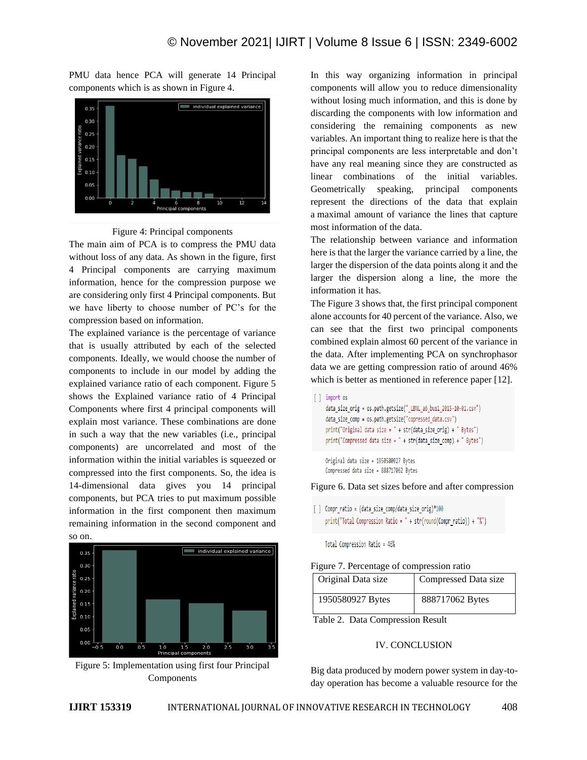PMU data hence PCA will generate 14 Principal components which is as shown in Figure 4.



Figure 4: Principal components

The main aim of PCA is to compress the PMU data without loss of any data. As shown in the figure, first 4 Principal components are carrying maximum information, hence for the compression purpose we are considering only first 4 Principal components. But we have liberty to choose number of PC's for the compression based on information.

The explained variance is the percentage of variance that is usually attributed by each of the selected components. Ideally, we would choose the number of components to include in our model by adding the explained variance ratio of each component. Figure 5 shows the Explained variance ratio of 4 Principal Components where first 4 principal components will explain most variance. These combinations are done in such a way that the new variables (i.e., principal components) are uncorrelated and most of the information within the initial variables is squeezed or compressed into the first components. So, the idea is 14-dimensional data gives you 14 principal components, but PCA tries to put maximum possible information in the first component then maximum remaining information in the second component and so on.



Figure 5: Implementation using first four Principal Components

In this way organizing information in principal components will allow you to reduce dimensionality without losing much information, and this is done by discarding the components with low information and considering the remaining components as new variables. An important thing to realize here is that the principal components are less interpretable and don't have any real meaning since they are constructed as linear combinations of the initial variables. Geometrically speaking, principal components represent the directions of the data that explain a maximal amount of variance the lines that capture most information of the data.

The relationship between variance and information here is that the larger the variance carried by a line, the larger the dispersion of the data points along it and the larger the dispersion along a line, the more the information it has.

The Figure 3 shows that, the first principal component alone accounts for 40 percent of the variance. Also, we can see that the first two principal components combined explain almost 60 percent of the variance in the data. After implementing PCA on synchrophasor data we are getting compression ratio of around 46% which is better as mentioned in reference paper [12].

```
[ ] import os
data size orig = os.path.getsize(" LBNL a6 bus1 2015-10-01.csv")
data size comp = os.path.getsize("copressed data.csv")
print("Original data size = " + str(data_size_orig) + " Bytes")
print("Compressed data size = " + str(data size comp) + "Bytes")
```
Original data size = 1950580927 Bytes Compressed data size = 888717062 Bytes

Figure 6. Data set sizes before and after compression

[ ] Compr ratio = (data size comp/data size orig)\*100 print("Total Compression Ratio = " + str(round(Compr\_ratio)) + "%")

Total Compression Ratio = 46%

| Figure 7. Percentage of compression ratio |  |  |  |
|-------------------------------------------|--|--|--|
|                                           |  |  |  |
|                                           |  |  |  |

| Original Data size | Compressed Data size |
|--------------------|----------------------|
| 1950580927 Bytes   | 888717062 Bytes      |

Table 2. Data Compression Result

#### IV. CONCLUSION

Big data produced by modern power system in day-today operation has become a valuable resource for the